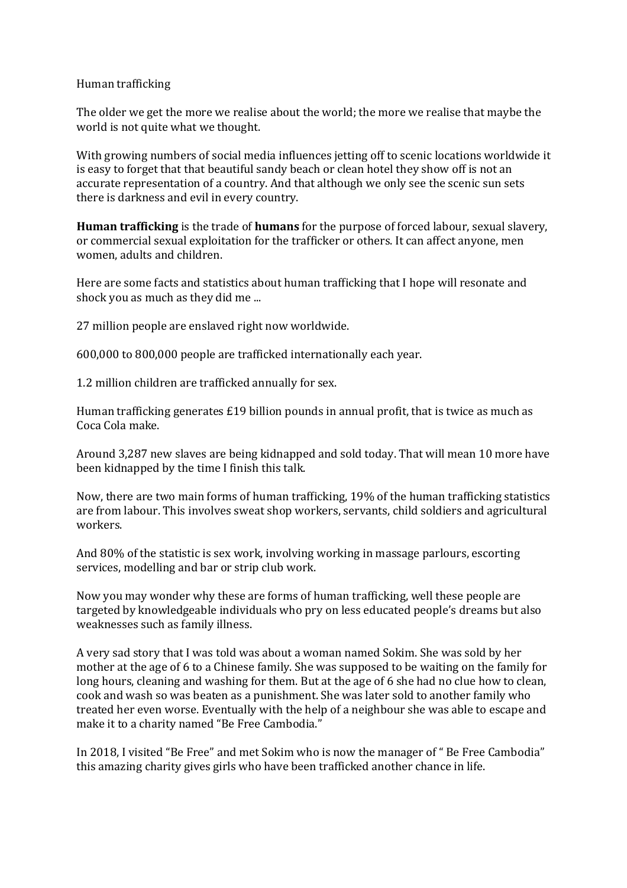## Human trafficking

The older we get the more we realise about the world; the more we realise that maybe the world is not quite what we thought.

With growing numbers of social media influences jetting off to scenic locations worldwide it is easy to forget that that beautiful sandy beach or clean hotel they show off is not an accurate representation of a country. And that although we only see the scenic sun sets there is darkness and evil in every country.

**Human trafficking** is the trade of **humans** for the purpose of forced labour, sexual slavery, or commercial sexual exploitation for the trafficker or others. It can affect anyone, men women, adults and children.

Here are some facts and statistics about human trafficking that I hope will resonate and shock you as much as they did me ...

27 million people are enslaved right now worldwide.

600,000 to 800,000 people are trafficked internationally each year.

1.2 million children are trafficked annually for sex.

Human trafficking generates  $£19$  billion pounds in annual profit, that is twice as much as Coca Cola make.

Around 3,287 new slaves are being kidnapped and sold today. That will mean 10 more have been kidnapped by the time I finish this talk.

Now, there are two main forms of human trafficking, 19% of the human trafficking statistics are from labour. This involves sweat shop workers, servants, child soldiers and agricultural workers.

And 80% of the statistic is sex work, involving working in massage parlours, escorting services, modelling and bar or strip club work.

Now you may wonder why these are forms of human trafficking, well these people are targeted by knowledgeable individuals who pry on less educated people's dreams but also weaknesses such as family illness.

A very sad story that I was told was about a woman named Sokim. She was sold by her mother at the age of 6 to a Chinese family. She was supposed to be waiting on the family for long hours, cleaning and washing for them. But at the age of 6 she had no clue how to clean, cook and wash so was beaten as a punishment. She was later sold to another family who treated her even worse. Eventually with the help of a neighbour she was able to escape and make it to a charity named "Be Free Cambodia."

In 2018, I visited "Be Free" and met Sokim who is now the manager of " Be Free Cambodia" this amazing charity gives girls who have been trafficked another chance in life.